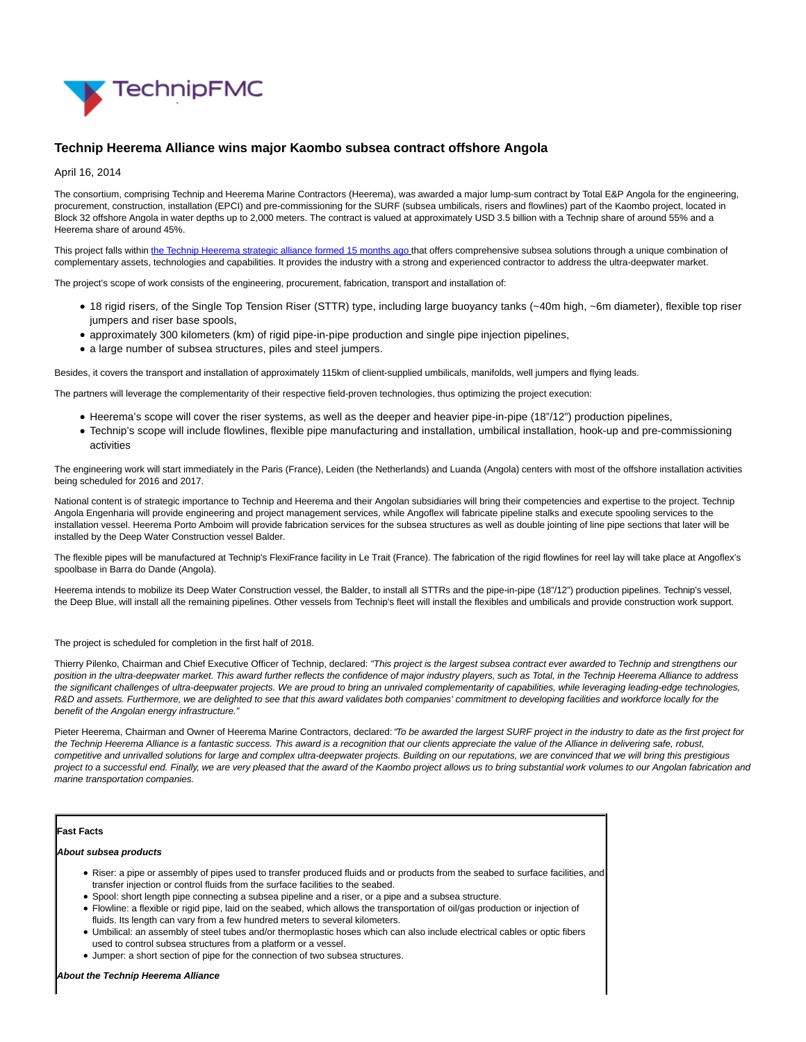

## **Technip Heerema Alliance wins major Kaombo subsea contract offshore Angola**

April 16, 2014

The consortium, comprising Technip and Heerema Marine Contractors (Heerema), was awarded a major lump-sum contract by Total E&P Angola for the engineering, procurement, construction, installation (EPCI) and pre-commissioning for the SURF (subsea umbilicals, risers and flowlines) part of the Kaombo project, located in Block 32 offshore Angola in water depths up to 2,000 meters. The contract is valued at approximately USD 3.5 billion with a Technip share of around 55% and a Heerema share of around 45%.

This project falls withi[n the Technip Heerema strategic alliance formed 15 months ago](http://www.technip.com/en/press/technip-and-heerema-form-alliance-help-their-clients-address-subsea-ultra-deepwater-market) that offers comprehensive subsea solutions through a unique combination of complementary assets, technologies and capabilities. It provides the industry with a strong and experienced contractor to address the ultra-deepwater market.

The project's scope of work consists of the engineering, procurement, fabrication, transport and installation of:

- 18 rigid risers, of the Single Top Tension Riser (STTR) type, including large buoyancy tanks (~40m high, ~6m diameter), flexible top riser jumpers and riser base spools,
- approximately 300 kilometers (km) of rigid pipe-in-pipe production and single pipe injection pipelines,
- a large number of subsea structures, piles and steel jumpers.

Besides, it covers the transport and installation of approximately 115km of client-supplied umbilicals, manifolds, well jumpers and flying leads.

The partners will leverage the complementarity of their respective field-proven technologies, thus optimizing the project execution:

- Heerema's scope will cover the riser systems, as well as the deeper and heavier pipe-in-pipe (18"/12") production pipelines,
- Technip's scope will include flowlines, flexible pipe manufacturing and installation, umbilical installation, hook-up and pre-commissioning activities

The engineering work will start immediately in the Paris (France), Leiden (the Netherlands) and Luanda (Angola) centers with most of the offshore installation activities being scheduled for 2016 and 2017.

National content is of strategic importance to Technip and Heerema and their Angolan subsidiaries will bring their competencies and expertise to the project. Technip Angola Engenharia will provide engineering and project management services, while Angoflex will fabricate pipeline stalks and execute spooling services to the installation vessel. Heerema Porto Amboim will provide fabrication services for the subsea structures as well as double jointing of line pipe sections that later will be installed by the Deep Water Construction vessel Balder.

The flexible pipes will be manufactured at Technip's FlexiFrance facility in Le Trait (France). The fabrication of the rigid flowlines for reel lay will take place at Angoflex's spoolbase in Barra do Dande (Angola).

Heerema intends to mobilize its Deep Water Construction vessel, the Balder, to install all STTRs and the pipe-in-pipe (18"/12") production pipelines. Technip's vessel, the Deep Blue, will install all the remaining pipelines. Other vessels from Technip's fleet will install the flexibles and umbilicals and provide construction work support.

The project is scheduled for completion in the first half of 2018.

Thierry Pilenko, Chairman and Chief Executive Officer of Technip, declared: "This project is the largest subsea contract ever awarded to Technip and strengthens our position in the ultra-deepwater market. This award further reflects the confidence of major industry players, such as Total, in the Technip Heerema Alliance to address the significant challenges of ultra-deepwater projects. We are proud to bring an unrivaled complementarity of capabilities, while leveraging leading-edge technologies, R&D and assets. Furthermore, we are delighted to see that this award validates both companies' commitment to developing facilities and workforce locally for the benefit of the Angolan energy infrastructure."

Pieter Heerema, Chairman and Owner of Heerema Marine Contractors, declared: "To be awarded the largest SURF project in the industry to date as the first project for the Technip Heerema Alliance is a fantastic success. This award is a recognition that our clients appreciate the value of the Alliance in delivering safe, robust, competitive and unrivalled solutions for large and complex ultra-deepwater projects. Building on our reputations, we are convinced that we will bring this prestigious project to a successful end. Finally, we are very pleased that the award of the Kaombo project allows us to bring substantial work volumes to our Angolan fabrication and marine transportation companies.

#### **Fast Facts**

**About subsea products**

- Riser: a pipe or assembly of pipes used to transfer produced fluids and or products from the seabed to surface facilities, and transfer injection or control fluids from the surface facilities to the seabed.
- Spool: short length pipe connecting a subsea pipeline and a riser, or a pipe and a subsea structure.
- Flowline: a flexible or rigid pipe, laid on the seabed, which allows the transportation of oil/gas production or injection of fluids. Its length can vary from a few hundred meters to several kilometers.
- Umbilical: an assembly of steel tubes and/or thermoplastic hoses which can also include electrical cables or optic fibers used to control subsea structures from a platform or a vessel.
- Jumper: a short section of pipe for the connection of two subsea structures.

**About the Technip Heerema Alliance**